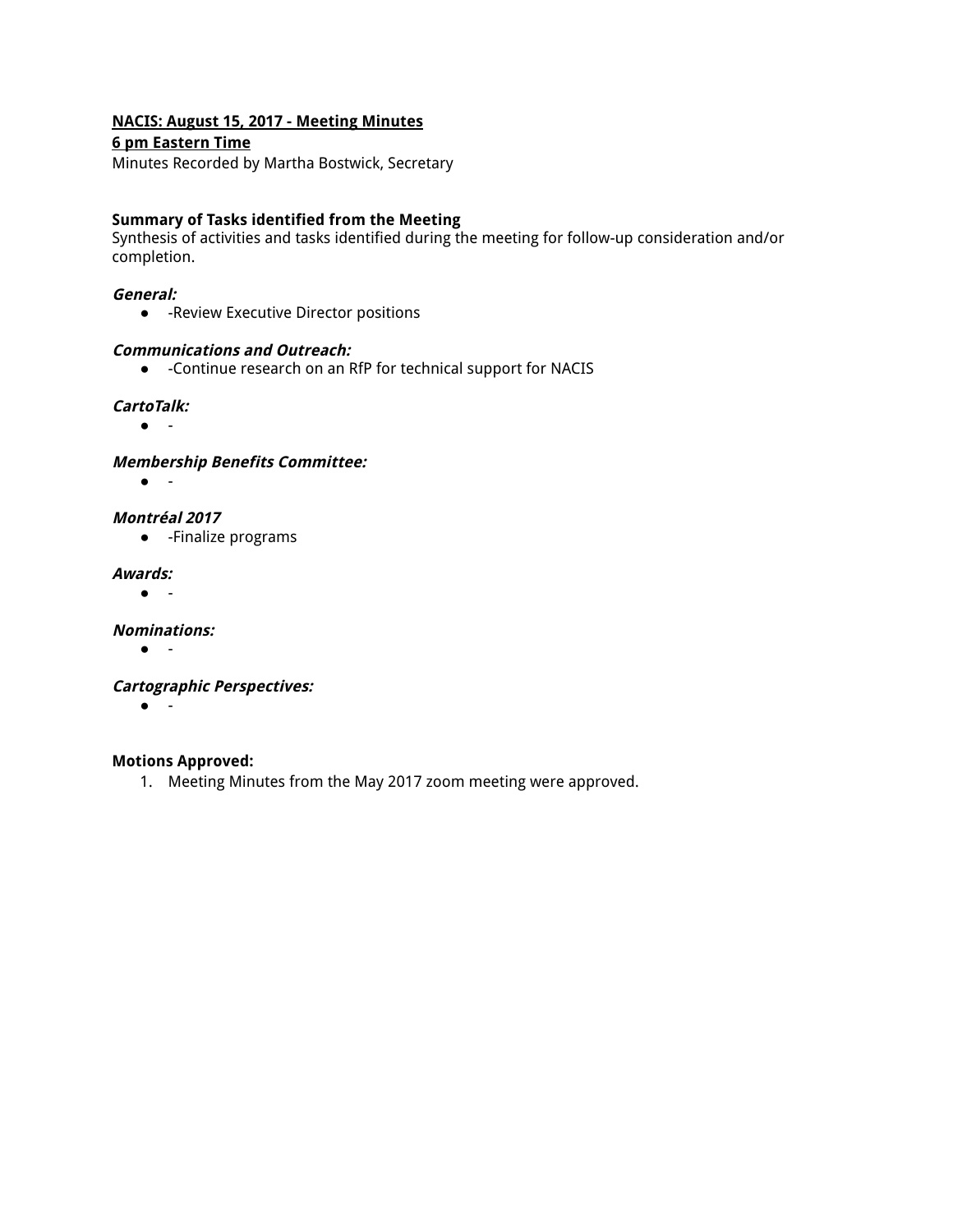### **NACIS: August 15, 2017 - Meeting Minutes**

### **6 pm Eastern Time**

Minutes Recorded by Martha Bostwick, Secretary

### **Summary of Tasks identified from the Meeting**

Synthesis of activities and tasks identified during the meeting for follow-up consideration and/or completion.

#### **General:**

● -Review Executive Director positions

### **Communications and Outreach:**

● -Continue research on an RfP for technical support for NACIS

### **CartoTalk:**

● -

**Membership Benefits Committee:**

● -

**Montréal 2017**

● -Finalize programs

#### **Awards:**

● -

**Nominations:**

● -

**Cartographic Perspectives:**

● -

### **Motions Approved:**

1. Meeting Minutes from the May 2017 zoom meeting were approved.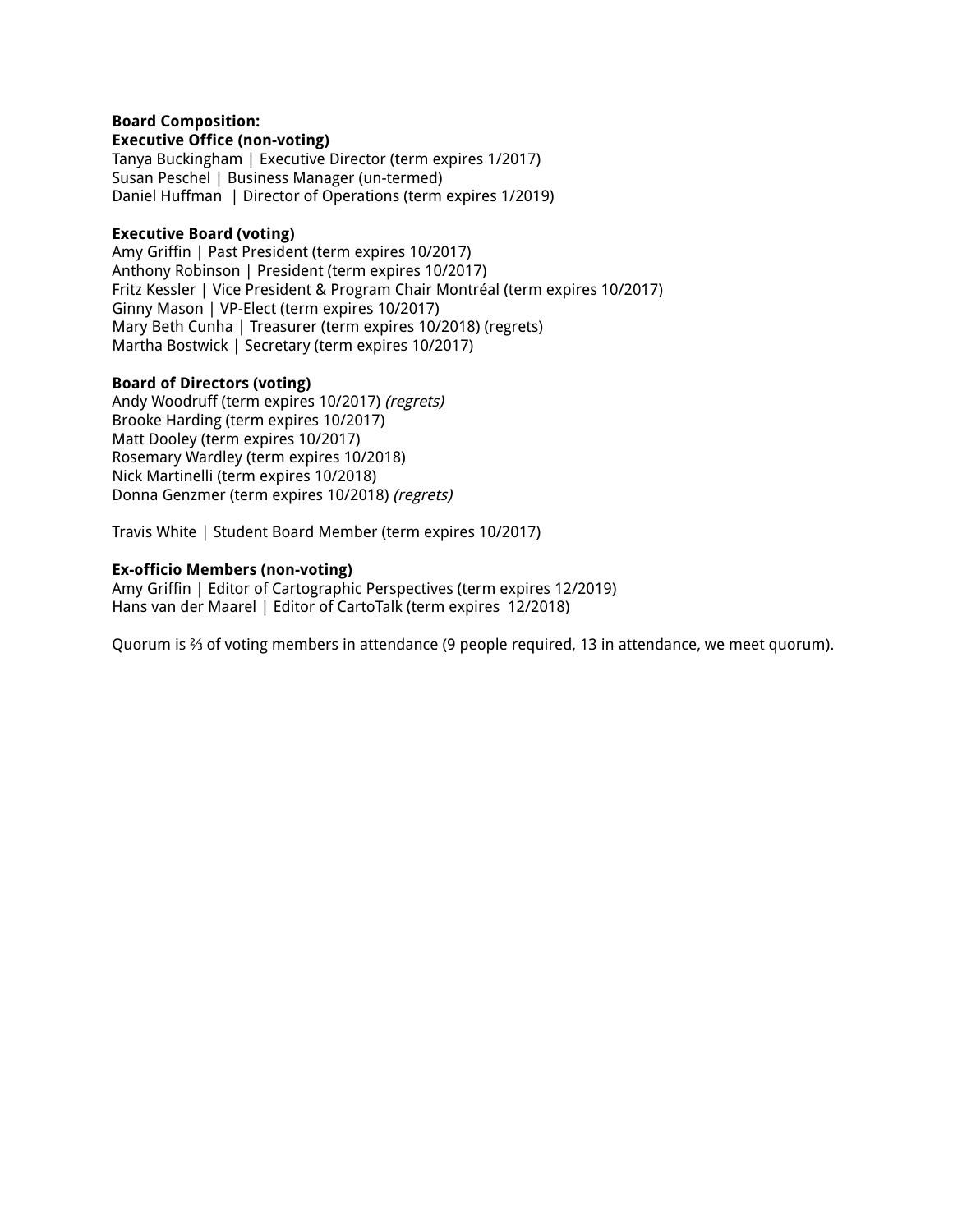#### **Board Composition: Executive Office (non-voting)**

Tanya Buckingham | Executive Director (term expires 1/2017) Susan Peschel | Business Manager (un-termed) Daniel Huffman | Director of Operations (term expires 1/2019)

### **Executive Board (voting)**

Amy Griffin | Past President (term expires 10/2017) Anthony Robinson | President (term expires 10/2017) Fritz Kessler | Vice President & Program Chair Montréal (term expires 10/2017) Ginny Mason | VP-Elect (term expires 10/2017) Mary Beth Cunha | Treasurer (term expires 10/2018) (regrets) Martha Bostwick | Secretary (term expires 10/2017)

### **Board of Directors (voting)**

Andy Woodruff (term expires 10/2017) (regrets) Brooke Harding (term expires 10/2017) Matt Dooley (term expires 10/2017) Rosemary Wardley (term expires 10/2018) Nick Martinelli (term expires 10/2018) Donna Genzmer (term expires 10/2018) (regrets)

Travis White | Student Board Member (term expires 10/2017)

### **Ex-officio Members (non-voting)**

Amy Griffin | Editor of Cartographic Perspectives (term expires 12/2019) Hans van der Maarel | Editor of CartoTalk (term expires 12/2018)

Quorum is ⅔ of voting members in attendance (9 people required, 13 in attendance, we meet quorum).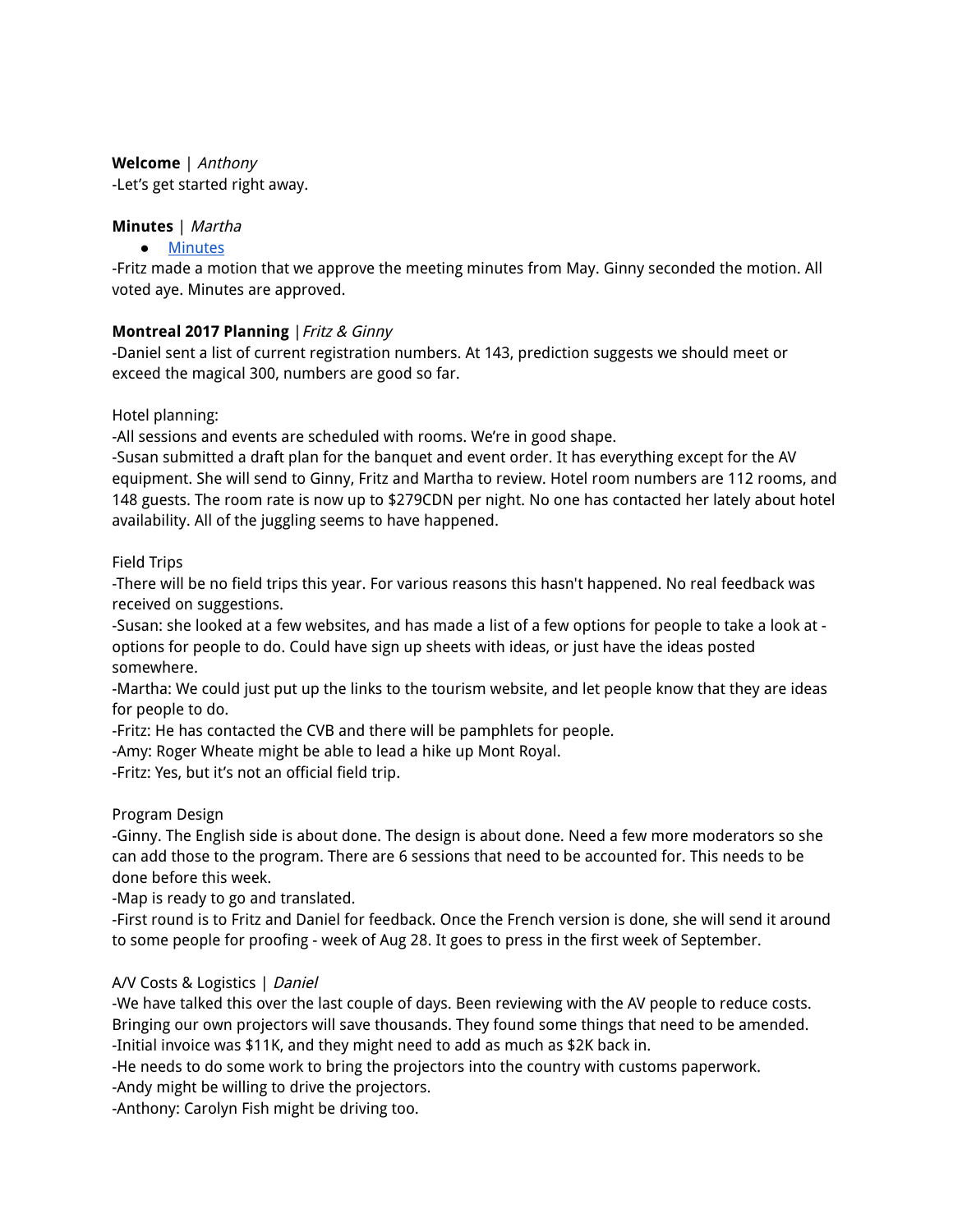**Welcome** | Anthony -Let's get started right away.

# **Minutes** | Martha

● [Minutes](https://docs.google.com/document/d/18oQ6UEpPrFqAeHNUc2EKk49SSjFAiDMXSIYVx1zig_E/edit)

-Fritz made a motion that we approve the meeting minutes from May. Ginny seconded the motion. All voted aye. Minutes are approved.

# **Montreal 2017 Planning** |Fritz & Ginny

-Daniel sent a list of current registration numbers. At 143, prediction suggests we should meet or exceed the magical 300, numbers are good so far.

Hotel planning:

-All sessions and events are scheduled with rooms. We're in good shape.

-Susan submitted a draft plan for the banquet and event order. It has everything except for the AV equipment. She will send to Ginny, Fritz and Martha to review. Hotel room numbers are 112 rooms, and 148 guests. The room rate is now up to \$279CDN per night. No one has contacted her lately about hotel availability. All of the juggling seems to have happened.

# Field Trips

-There will be no field trips this year. For various reasons this hasn't happened. No real feedback was received on suggestions.

-Susan: she looked at a few websites, and has made a list of a few options for people to take a look at options for people to do. Could have sign up sheets with ideas, or just have the ideas posted somewhere.

-Martha: We could just put up the links to the tourism website, and let people know that they are ideas for people to do.

-Fritz: He has contacted the CVB and there will be pamphlets for people.

-Amy: Roger Wheate might be able to lead a hike up Mont Royal.

-Fritz: Yes, but it's not an official field trip.

Program Design

-Ginny. The English side is about done. The design is about done. Need a few more moderators so she can add those to the program. There are 6 sessions that need to be accounted for. This needs to be done before this week.

-Map is ready to go and translated.

-First round is to Fritz and Daniel for feedback. Once the French version is done, she will send it around to some people for proofing - week of Aug 28. It goes to press in the first week of September.

# A/V Costs & Logistics | Daniel

-We have talked this over the last couple of days. Been reviewing with the AV people to reduce costs. Bringing our own projectors will save thousands. They found some things that need to be amended. -Initial invoice was \$11K, and they might need to add as much as \$2K back in.

-He needs to do some work to bring the projectors into the country with customs paperwork.

-Andy might be willing to drive the projectors.

-Anthony: Carolyn Fish might be driving too.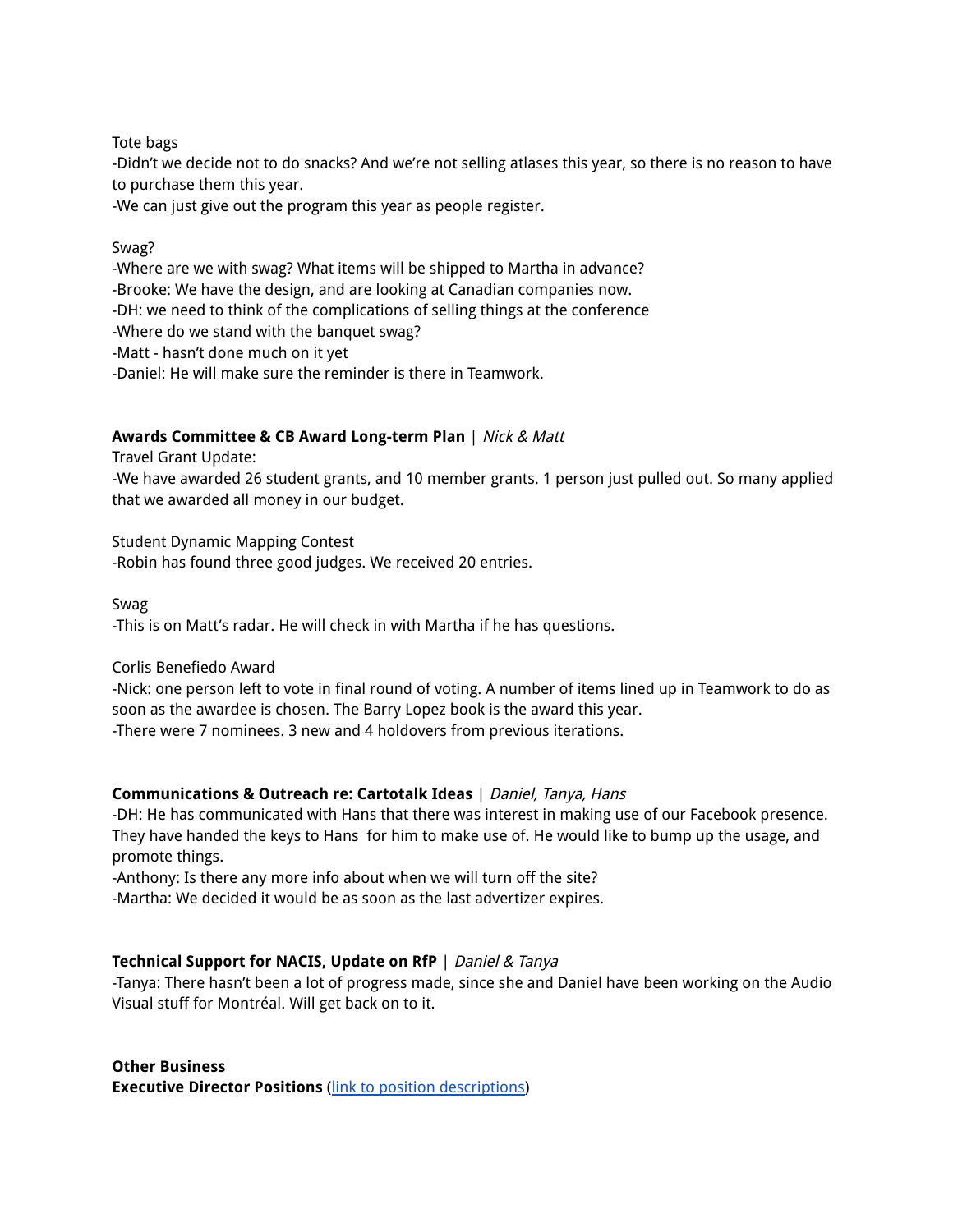### Tote bags

-Didn't we decide not to do snacks? And we're not selling atlases this year, so there is no reason to have to purchase them this year.

-We can just give out the program this year as people register.

### Swag?

-Where are we with swag? What items will be shipped to Martha in advance?

-Brooke: We have the design, and are looking at Canadian companies now.

-DH: we need to think of the complications of selling things at the conference

-Where do we stand with the banquet swag?

-Matt - hasn't done much on it yet

-Daniel: He will make sure the reminder is there in Teamwork.

# **Awards Committee & CB Award Long-term Plan** | Nick & Matt

Travel Grant Update:

-We have awarded 26 student grants, and 10 member grants. 1 person just pulled out. So many applied that we awarded all money in our budget.

Student Dynamic Mapping Contest

-Robin has found three good judges. We received 20 entries.

### Swag

-This is on Matt's radar. He will check in with Martha if he has questions.

### Corlis Benefiedo Award

-Nick: one person left to vote in final round of voting. A number of items lined up in Teamwork to do as soon as the awardee is chosen. The Barry Lopez book is the award this year. -There were 7 nominees. 3 new and 4 holdovers from previous iterations.

### **Communications & Outreach re: Cartotalk Ideas** | Daniel, Tanya, Hans

-DH: He has communicated with Hans that there was interest in making use of our Facebook presence. They have handed the keys to Hans for him to make use of. He would like to bump up the usage, and promote things.

-Anthony: Is there any more info about when we will turn off the site?

-Martha: We decided it would be as soon as the last advertizer expires.

# **Technical Support for NACIS, Update on RfP** | Daniel & Tanya

-Tanya: There hasn't been a lot of progress made, since she and Daniel have been working on the Audio Visual stuff for Montréal. Will get back on to it.

**Other Business Executive Director Positions** (link to position [descriptions\)](https://docs.google.com/document/d/1VrhFfRmck5WEs7Q0GcdpPIajvKQ5MGv-PsyrzpGKSXY/edit)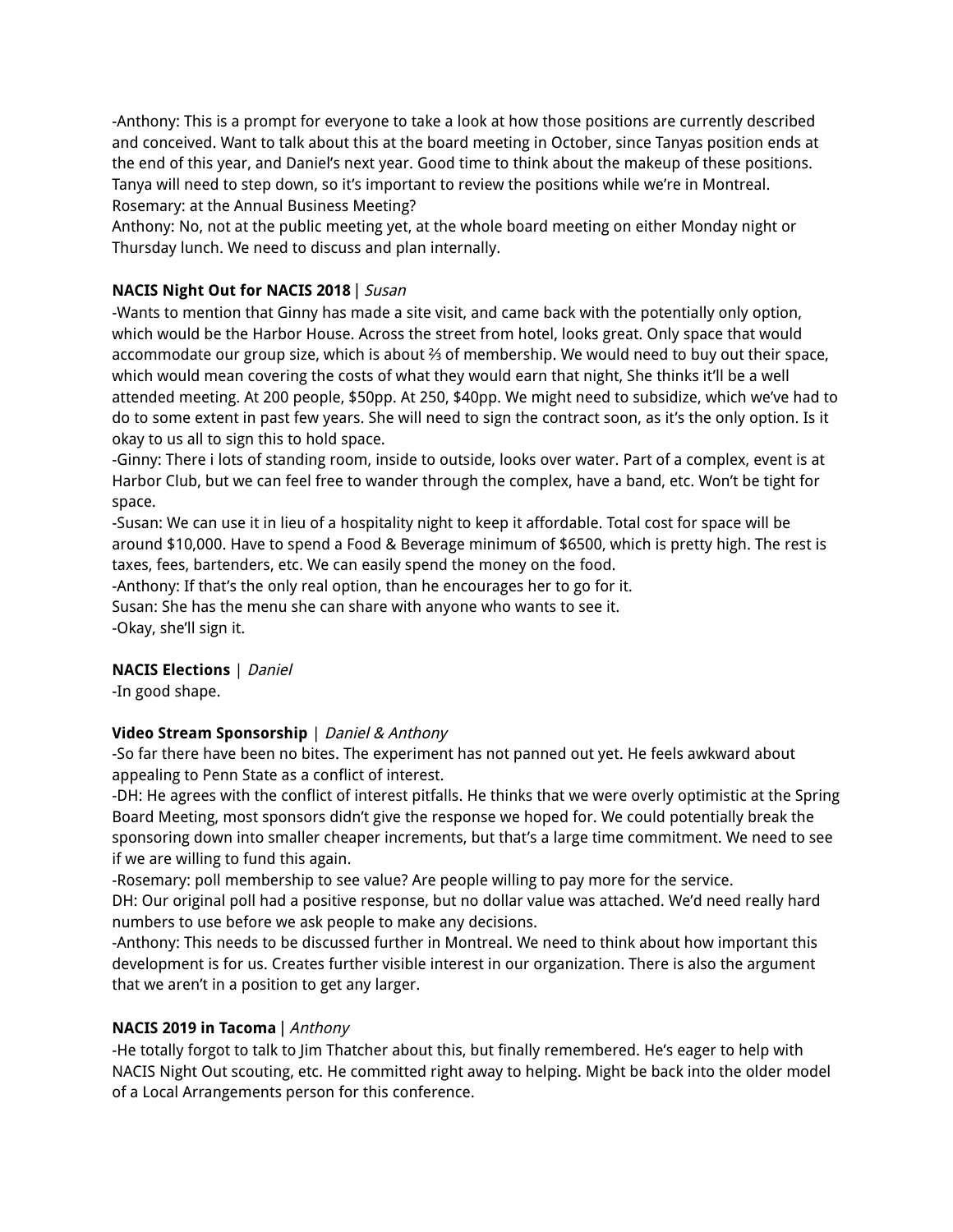-Anthony: This is a prompt for everyone to take a look at how those positions are currently described and conceived. Want to talk about this at the board meeting in October, since Tanyas position ends at the end of this year, and Daniel's next year. Good time to think about the makeup of these positions. Tanya will need to step down, so it's important to review the positions while we're in Montreal. Rosemary: at the Annual Business Meeting?

Anthony: No, not at the public meeting yet, at the whole board meeting on either Monday night or Thursday lunch. We need to discuss and plan internally.

# **NACIS Night Out for NACIS 2018** | Susan

-Wants to mention that Ginny has made a site visit, and came back with the potentially only option, which would be the Harbor House. Across the street from hotel, looks great. Only space that would accommodate our group size, which is about ⅔ of membership. We would need to buy out their space, which would mean covering the costs of what they would earn that night, She thinks it'll be a well attended meeting. At 200 people, \$50pp. At 250, \$40pp. We might need to subsidize, which we've had to do to some extent in past few years. She will need to sign the contract soon, as it's the only option. Is it okay to us all to sign this to hold space.

-Ginny: There i lots of standing room, inside to outside, looks over water. Part of a complex, event is at Harbor Club, but we can feel free to wander through the complex, have a band, etc. Won't be tight for space.

-Susan: We can use it in lieu of a hospitality night to keep it affordable. Total cost for space will be around \$10,000. Have to spend a Food & Beverage minimum of \$6500, which is pretty high. The rest is taxes, fees, bartenders, etc. We can easily spend the money on the food.

-Anthony: If that's the only real option, than he encourages her to go for it. Susan: She has the menu she can share with anyone who wants to see it. -Okay, she'll sign it.

# **NACIS Elections** | Daniel

-In good shape.

# **Video Stream Sponsorship** | Daniel & Anthony

-So far there have been no bites. The experiment has not panned out yet. He feels awkward about appealing to Penn State as a conflict of interest.

-DH: He agrees with the conflict of interest pitfalls. He thinks that we were overly optimistic at the Spring Board Meeting, most sponsors didn't give the response we hoped for. We could potentially break the sponsoring down into smaller cheaper increments, but that's a large time commitment. We need to see if we are willing to fund this again.

-Rosemary: poll membership to see value? Are people willing to pay more for the service.

DH: Our original poll had a positive response, but no dollar value was attached. We'd need really hard numbers to use before we ask people to make any decisions.

-Anthony: This needs to be discussed further in Montreal. We need to think about how important this development is for us. Creates further visible interest in our organization. There is also the argument that we aren't in a position to get any larger.

# **NACIS 2019 in Tacoma** | Anthony

-He totally forgot to talk to Jim Thatcher about this, but finally remembered. He's eager to help with NACIS Night Out scouting, etc. He committed right away to helping. Might be back into the older model of a Local Arrangements person for this conference.